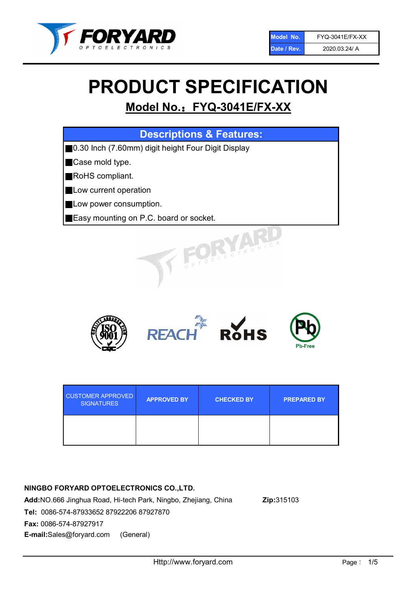

# PRODUCT SPECIFICATION

# Model No.: FYQ-3041E/FX-XX

| <b>Descriptions &amp; Features:</b>                |
|----------------------------------------------------|
| 0.30 Inch (7.60mm) digit height Four Digit Display |
| Case mold type.                                    |
| RoHS compliant.                                    |
| Low current operation                              |
| Low power consumption.                             |
| Easy mounting on P.C. board or socket.             |
| VOELECTRONICS                                      |



| <b>CUSTOMER APPROVED</b><br><b>SIGNATURES</b> | <b>APPROVED BY</b> | <b>CHECKED BY</b> | <b>PREPARED BY</b> |
|-----------------------------------------------|--------------------|-------------------|--------------------|
|                                               |                    |                   |                    |

# NINGBO FORYARD OPTOELECTRONICS CO.,LTD.

Add:NO.666 Jinghua Road, Hi-tech Park, Ningbo, Zhejiang, China Zip:315103 Tel: 0086-574-87933652 87922206 87927870 Fax: 0086-574-87927917 E-mail:Sales@foryard.com (General)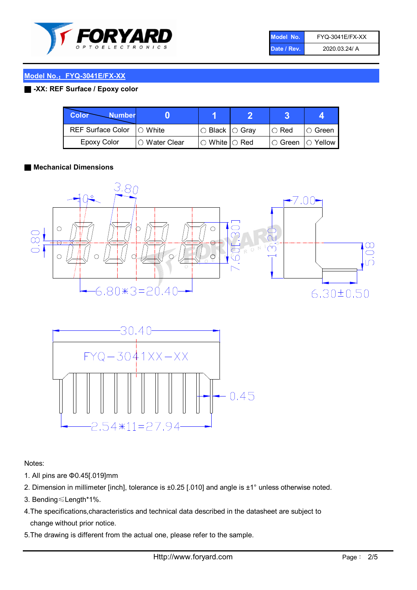

| Model No.   | FYQ-3041E/FX-XX |
|-------------|-----------------|
| Date / Rev. | 2020.03.24/ A   |

#### ■ -XX: REF Surface / Epoxy color

| Color<br><b>Number</b>      |                |                                                   |             |                |
|-----------------------------|----------------|---------------------------------------------------|-------------|----------------|
| REF Surface Color   O White |                | ○ Black  ○ Gray                                   | $\circ$ Red | $\circ$ Green  |
| Epoxy Color                 | I⊖ Water Clear | $\mathbin{\varcap}$ White $\mathbin{\varcap}$ Red | IO Green∶   | $\circ$ Yellow |

#### ■ Mechanical Dimensions





Notes:

- 1. All pins are Φ0.45[.019]mm
- 2. Dimension in millimeter [inch], tolerance is ±0.25 [.010] and angle is ±1° unless otherwise noted.
- 3. Bending≤Length\*1%.
- 4.The specifications,characteristics and technical data described in the datasheet are subject to change without prior notice.
- 5.The drawing is different from the actual one, please refer to the sample.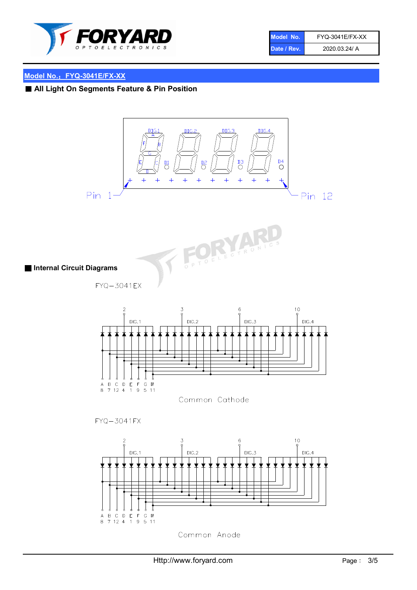

| Model No.   | FYQ-3041E/FX-XX |
|-------------|-----------------|
| Date / Rev. | 2020.03.24/ A   |

■ All Light On Segments Feature & Pin Position





■ Internal Circuit Diagrams

 $FYQ - 3041EX$ 



Common Cathode

 $FYQ - 3041FX$ 



Common Anode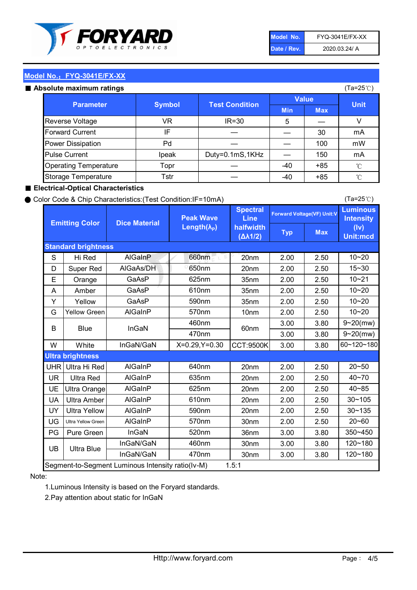

| Model No.   | <b>FYQ-3041E/FX-XX</b> |
|-------------|------------------------|
| Date / Rev. | 2020.03.24/ A          |

#### Absolute maximum

| ISUIULU IIIAAIIIIUIIII TALIIIYS |               |                       |              | (⊺a−∠J ∪ <i>)</i> |              |
|---------------------------------|---------------|-----------------------|--------------|-------------------|--------------|
| <b>Parameter</b>                | <b>Symbol</b> | <b>Test Condition</b> | <b>Value</b> |                   | <b>Unit</b>  |
|                                 |               |                       | <b>Min</b>   | <b>Max</b>        |              |
| Reverse Voltage                 | VR            | $IR = 30$             | 5            |                   |              |
| <b>Forward Current</b>          | ΙF            |                       |              | 30                | mA           |
| Power Dissipation               | Pd            |                       |              | 100               | mW           |
| <b>Pulse Current</b>            | Ipeak         | Duty=0.1mS,1KHz       |              | 150               | mA           |
| <b>Operating Temperature</b>    | Topr          |                       | $-40$        | $+85$             | $^{\circ}$ C |
| Storage Temperature             | Tstr          |                       | $-40$        | $+85$             | °C           |

#### ■ Electrical-Optical Characteristics

#### ● Color Code & Chip Characteristics:(Test Condition:IF=10mA)

Typ Max S | Hi $\textsf{Red}$  | AlGaInP | 660nm LE 20nm | 2.00 | 2.50 D | Super Red | AIGaAs/DH | 650nm | 20nm | 2.00 | 2.50 E | Orange | GaAsP | 625nm | 35nm | 2.00 | 2.50 A | Amber | GaAsP | 610nm | 35nm | 2.00 | 2.50 Y | Yellow | GaAsP | 590nm | 35nm | 2.00 | 2.50 G Yellow Green AIGaInP | 570nm | 10nm | 2.00 | 2.50 3.00 3.80 3.00 3.80 W | White | InGaN/GaN | X=0.29,Y=0.30 |CCT:9500K| 3.00 | 3.80 UHR Ultra Hi Red  $\vert$  AIGaInP  $\vert$  640nm  $\vert$  20nm  $\vert$  2.00  $\vert$  2.50 UR | Ultra Red | AlGaInP | 635nm | 20nm | 2.00 | 2.50 UE Ultra Orange | AIGaInP | 625nm | 20nm | 2.00 | 2.50 UA Ultra Amber | AIGaInP | 610nm | 20nm | 2.00 | 2.50  $UV$  Ultra Yellow  $\vert$  AlGaInP  $\vert$  590nm  $\vert$  20nm  $\vert$  2.00  $\vert$  2.50  $\text{UG}$  Ultra Yellow Green | AIGaInP | 570nm | 30nm | 2.00 | 2.50 PG | Pure Green | InGaN | 520nm | 36nm | 3.00 | 3.80 30nm 3.00 3.80 30nm 3.00 3.80 40~85 60~120~180 40~70 Segment-to-Segment Luminous Intensity ratio(Iv-M) 1.5:1 610nm 9~20(mw) 350~450 470nm 120~180 120~180 Ultra Blue InGaN/GaN 9~20(mw) 20~50 570nm | 30nm | 2.00 | 2.50 | 20~60 470nm 590nm InGaN/GaN B Blue I InGaN 570nm | 10nm | 2.00 | 2.50 | 10~20 30~105 30~135 460nm 520nm Ultra brightness **AlGaInP** AlGaInP 60nm AlGaInP 640nm Peak Wave Length $(\lambda_{\rm P})$ UB 460nm 635nm AlGaInP AlGaInP AlGaInP InGaN/GaN AlGaInP 10~20 Luminous **Intensity** (Iv) Unit:mcd AlGainP 660nm GaAsP GaAsP AlGaAs/DH **Spectral** Line halfwidth (∆λ1/2) 10~20 Standard brightness Forward Voltage(VF) Unit:V 15~30 10~20 625nm GaAsP 590nm **Emitting Color Dice Material** 10~21 610nm

#### Note:

1.Luminous Intensity is based on the Foryard standards.

2.Pay attention about static for InGaN

(Ta=25℃)

(Ta=25℃)